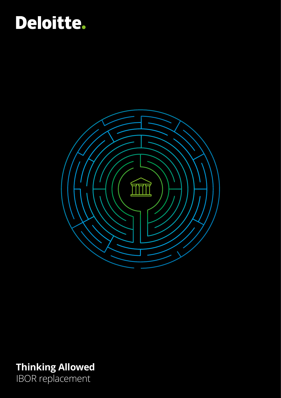# Deloitte.



**Thinking Allowed** IBOR replacement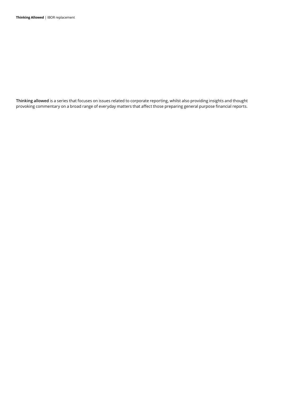**Thinking allowed** is a series that focuses on issues related to corporate reporting, whilst also providing insights and thought provoking commentary on a broad range of everyday matters that affect those preparing general purpose financial reports.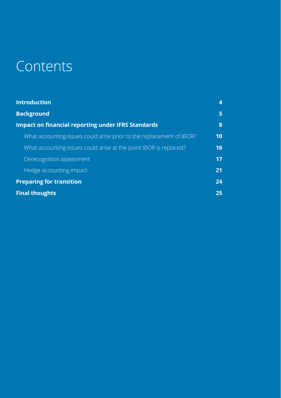# Contents

| <b>Introduction</b>                                                  | 4  |
|----------------------------------------------------------------------|----|
| <b>Background</b>                                                    | 5  |
| <b>Impact on financial reporting under IFRS Standards</b>            | 8  |
| What accounting issues could arise prior to the replacement of IBOR? | 10 |
| What accounting issues could arise at the point IBOR is replaced?    | 16 |
| Derecognition assessment                                             | 17 |
| Hedge accounting impact                                              | 21 |
| <b>Preparing for transition</b>                                      | 24 |
| <b>Final thoughts</b>                                                | 25 |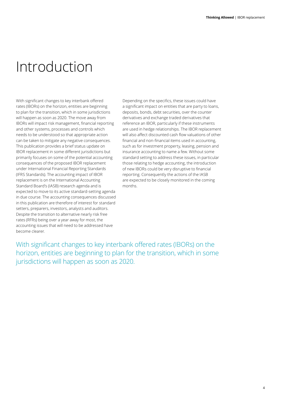# <span id="page-3-0"></span>Introduction

With significant changes to key interbank offered rates (IBORs) on the horizon, entities are beginning to plan for the transition, which in some jurisdictions will happen as soon as 2020. The move away from IBORs will impact risk management, financial reporting and other systems, processes and controls which needs to be understood so that appropriate action can be taken to mitigate any negative consequences. This publication provides a brief status update on IBOR replacement in some different jurisdictions but primarily focuses on some of the potential accounting consequences of the proposed IBOR replacement under International Financial Reporting Standards (IFRS Standards). The accounting impact of IBOR replacement is on the International Accounting Standard Board's (IASB) research agenda and is expected to move to its active standard‑setting agenda in due course. The accounting consequences discussed in this publication are therefore of interest for standard setters, preparers, investors, analysts and auditors. Despite the transition to alternative nearly risk free rates (RFRs) being over a year away for most, the accounting issues that will need to be addressed have become clearer.

Depending on the specifics, these issues could have a significant impact on entities that are party to loans, deposits, bonds, debt securities, over the counter derivatives and exchange traded derivatives that reference an IBOR, particularly if these instruments are used in hedge relationships. The IBOR replacement will also affect discounted cash flow valuations of other financial and non-financial items used in accounting, such as for investment property, leasing, pension and insurance accounting to name a few. Without some standard setting to address these issues, in particular those relating to hedge accounting, the introduction of new IBORs could be very disruptive to financial reporting. Consequently the actions of the IASB are expected to be closely monitored in the coming months.

With significant changes to key interbank offered rates (IBORs) on the horizon, entities are beginning to plan for the transition, which in some jurisdictions will happen as soon as 2020.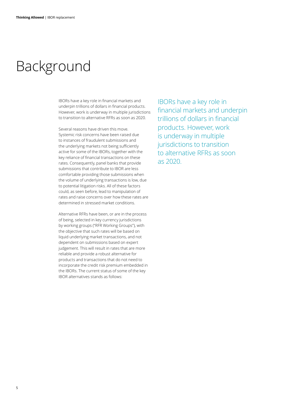## <span id="page-4-0"></span>Background

IBORs have a key role in financial markets and underpin trillions of dollars in financial products. However, work is underway in multiple jurisdictions to transition to alternative RFRs as soon as 2020.

Several reasons have driven this move. Systemic risk concerns have been raised due to instances of fraudulent submissions and the underlying markets not being sufficiently active for some of the IBORs, together with the key reliance of financial transactions on these rates. Consequently, panel banks that provide submissions that contribute to IBOR are less comfortable providing those submissions when the volume of underlying transactions is low, due to potential litigation risks. All of these factors could, as seen before, lead to manipulation of rates and raise concerns over how these rates are determined in stressed market conditions.

Alternative RFRs have been, or are in the process of being, selected in key currency jurisdictions by working groups ("RFR Working Groups"), with the objective that such rates will be based on liquid underlying market transactions, and not dependent on submissions based on expert judgement. This will result in rates that are more reliable and provide a robust alternative for products and transactions that do not need to incorporate the credit risk premium embedded in the IBORs. The current status of some of the key IBOR alternatives stands as follows:

IBORs have a key role in financial markets and underpin trillions of dollars in financial products. However, work is underway in multiple jurisdictions to transition to alternative RFRs as soon as 2020.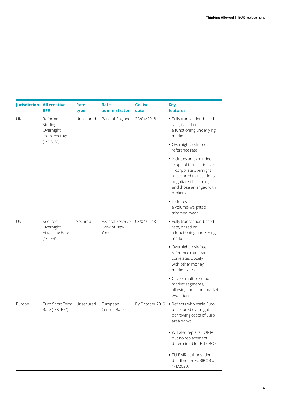|        | <b>Jurisdiction Alternative</b><br><b>RFR</b>      | Rate<br>type | Rate<br>administrator                  | <b>Go live</b><br>date | <b>Key</b><br>features                                                                                                                                                 |
|--------|----------------------------------------------------|--------------|----------------------------------------|------------------------|------------------------------------------------------------------------------------------------------------------------------------------------------------------------|
| UK     | Reformed<br>Sterling<br>Overnight<br>Index Average | Unsecured    | Bank of England                        | 23/04/2018             | • Fully transaction-based<br>rate, based on<br>a functioning underlying<br>market.                                                                                     |
|        | ("SONIA")                                          |              |                                        |                        | · Overnight, risk-free<br>reference rate.                                                                                                                              |
|        |                                                    |              |                                        |                        | · Includes an expanded<br>scope of transactions to<br>incorporate overnight<br>unsecured transactions<br>negotiated bilaterally<br>and those arranged with<br>brokers. |
|        |                                                    |              |                                        |                        | · Includes<br>a volume-weighted<br>trimmed mean.                                                                                                                       |
| US     | Secured<br>Overnight<br>Financing Rate<br>("SOFR") | Secured      | Federal Reserve<br>Bank of New<br>York | 03/04/2018             | • Fully transaction-based<br>rate, based on<br>a functioning underlying<br>market.                                                                                     |
|        |                                                    |              |                                        |                        | · Overnight, risk-free<br>reference rate that<br>correlates closely<br>with other money<br>market rates.                                                               |
|        |                                                    |              |                                        |                        | • Covers multiple repo<br>market segments,<br>allowing for future market<br>evolution.                                                                                 |
| Europe | Euro Short Term<br>Rate ("ESTER")                  | Unsecured    | European<br>Central Bank               |                        | By October 2019 . Reflects wholesale Euro<br>unsecured overnight<br>borrowing costs of Euro<br>area banks.                                                             |
|        |                                                    |              |                                        |                        | · Will also replace EONIA<br>but no replacement<br>determined for EURIBOR.                                                                                             |
|        |                                                    |              |                                        |                        | • EU BMR authorisation<br>deadline for EURIBOR on<br>1/1/2020.                                                                                                         |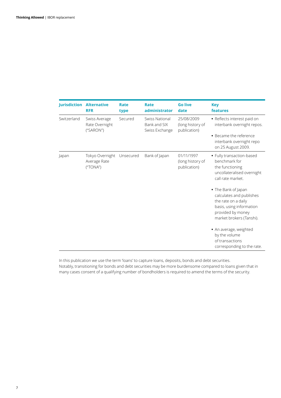| <b>Jurisdiction</b> | <b>Alternative</b><br><b>RFR</b>             | Rate<br>type | Rate<br>administrator                            | <b>Go live</b><br>date                         | <b>Key</b><br>features                                                                                                                              |
|---------------------|----------------------------------------------|--------------|--------------------------------------------------|------------------------------------------------|-----------------------------------------------------------------------------------------------------------------------------------------------------|
| Switzerland         | Swiss Average<br>Rate Overnight<br>("SARON") | Secured      | Swiss National<br>Bank and SIX<br>Swiss Exchange | 25/08/2009<br>(long history of<br>publication) | • Reflects interest paid on<br>interbank overnight repos.<br>• Became the reference<br>interbank overnight repo                                     |
|                     |                                              |              |                                                  |                                                | on 25 August 2009.                                                                                                                                  |
| Japan               | Tokyo Overnight<br>Average Rate<br>("TONA")  | Unsecured    | Bank of Japan                                    | 01/11/1997<br>(long history of<br>publication) | • Fully transaction-based<br>benchmark for<br>the functioning<br>uncollateralised overnight<br>call rate market.                                    |
|                     |                                              |              |                                                  |                                                | • The Bank of Japan<br>calculates and publishes<br>the rate on a daily<br>basis, using information<br>provided by money<br>market brokers (Tanshi). |
|                     |                                              |              |                                                  |                                                | • An average, weighted<br>by the volume<br>of transactions<br>corresponding to the rate.                                                            |

In this publication we use the term 'loans' to capture loans, deposits, bonds and debt securities. Notably, transitioning for bonds and debt securities may be more burdensome compared to loans given that in many cases consent of a qualifying number of bondholders is required to amend the terms of the security.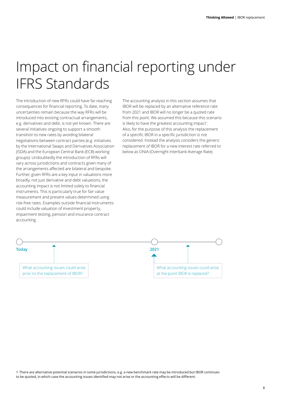## <span id="page-7-0"></span>Impact on financial reporting under IFRS Standards

The introduction of new RFRs could have far-reaching consequences for financial reporting. To date, many uncertainties remain because the way RFRs will be introduced into existing contractual arrangements, e.g. derivatives and debt, is not yet known. There are several initiatives ongoing to support a smooth transition to new rates by avoiding bilateral negotiations between contract parties (e.g. initiatives by the International Swaps and Derivatives Association (ISDA) and the European Central Bank (ECB) working groups). Undoubtedly the introduction of RFRs will vary across jurisdictions and contracts given many of the arrangements affected are bilateral and bespoke. Further, given RFRs are a key input in valuations more broadly, not just derivative and debt valuations, the accounting impact is not limited solely to financial instruments. This is particularly true for fair value measurement and present values determined using risk‑free rates. Examples outside financial instruments could include valuation of investment property, impairment testing, pension and insurance contract accounting.

The accounting analysis in this section assumes that IBOR will be replaced by an alternative reference rate from 2021 and IBOR will no longer be a quoted rate from this point. We assumed this because this scenario is likely to have the greatest accounting impact<sup>1</sup>. Also, for the purpose of this analysis the replacement of a specific IBOR in a specific jurisdiction is not considered. Instead the analysis considers the generic replacement of IBOR for a new interest rate referred to below as ONIA (Overnight Interbank Average Rate).

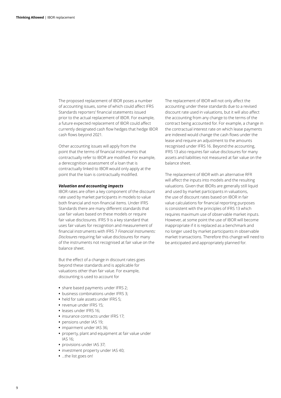The proposed replacement of IBOR poses a number of accounting issues, some of which could affect IFRS Standards reporters' financial statements issued prior to the actual replacement of IBOR. For example, a future expected replacement of IBOR could affect currently designated cash flow hedges that hedge IBOR cash flows beyond 2021.

Other accounting issues will apply from the point that the terms of financial instruments that contractually refer to IBOR are modified. For example, a derecognition assessment of a loan that is contractually linked to IBOR would only apply at the point that the loan is contractually modified.

#### *Valuation and accounting impacts*

IBOR rates are often a key component of the discount rate used by market participants in models to value both financial and non‑financial items. Under IFRS Standards there are many different standards that use fair values based on these models or require fair value disclosures. IFRS 9 is a key standard that uses fair values for recognition and measurement of financial instruments with IFRS 7 *Financial Instruments: Disclosures* requiring fair value disclosures for many of the instruments not recognised at fair value on the balance sheet.

But the effect of a change in discount rates goes beyond these standards and is applicable for valuations other than fair value. For example, discounting is used to account for

- **•** share based payments under IFRS 2;
- **•** business combinations under IFRS 3;
- **•** held for sale assets under IFRS 5;
- **•** revenue under IFRS 15;
- **•** leases under IFRS 16;
- **•** insurance contracts under IFRS 17;
- **•** pensions under IAS 19;
- **•** impairment under IAS 36;
- **•** property, plant and equipment at fair value under IAS 16;
- **•** provisions under IAS 37;
- **•** investment property under IAS 40;
- **•** …the list goes on!

The replacement of IBOR will not only affect the accounting under these standards due to a revised discount rate used in valuations, but it will also affect the accounting from any change to the terms of the contract being accounted for. For example, a change in the contractual interest rate on which lease payments are indexed would change the cash flows under the lease and require an adjustment to the amounts recognised under IFRS 16. Beyond the accounting, IFRS 13 also requires fair value disclosures for many assets and liabilities not measured at fair value on the balance sheet.

The replacement of IBOR with an alternative RFR will affect the inputs into models and the resulting valuations. Given that IBORs are generally still liquid and used by market participants in valuations, the use of discount rates based on IBOR in fair value calculations for financial reporting purposes is consistent with the principles of IFRS 13 which requires maximum use of observable market inputs. However, at some point the use of IBOR will become inappropriate if it is replaced as a benchmark and no longer used by market participants in observable market transactions. Therefore this change will need to be anticipated and appropriately planned for.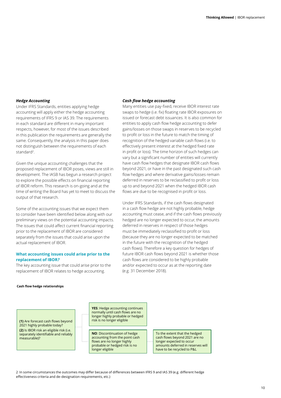#### <span id="page-9-0"></span>*Hedge Accounting*

Under IFRS Standards, entities applying hedge accounting will apply either the hedge accounting requirements of IFRS 9 or IAS 39. The requirements in each standard are different in many important respects, however, for most of the issues described in this publication the requirements are generally the same. Consequently, the analysis in this paper does not distinguish between the requirements of each standard2.

Given the unique accounting challenges that the proposed replacement of IBOR poses, views are still in development. The IASB has begun a research project to explore the possible effects on financial reporting of IBOR reform. This research is on‑going and at the time of writing the Board has yet to meet to discuss the output of that research.

Some of the accounting issues that we expect them to consider have been identified below along with our preliminary views on the potential accounting impacts. The issues that could affect current financial reporting prior to the replacement of IBOR are considered separately from the issues that could arise upon the actual replacement of IBOR.

#### **What accounting issues could arise prior to the replacement of IBOR***?*

The key accounting issue that could arise prior to the replacement of IBOR relates to hedge accounting.

#### *Cash flow hedge accounting*

Many entities use pay‑fixed, receive IBOR interest rate swaps to hedge (i.e. fix) floating rate IBOR exposures on issued or forecast debt issuances. It is also common for entities to apply cash flow hedge accounting to defer gains/losses on those swaps in reserves to be recycled to profit or loss in the future to match the timing of recognition of the hedged variable cash flows (i.e. to effectively present interest at the hedged fixed rate in profit or loss). The time horizon of such hedges can vary but a significant number of entities will currently have cash flow hedges that designate IBOR cash flows beyond 2021, or have in the past designated such cash flow hedges and where derivative gains/losses remain deferred in reserves to be reclassified to profit or loss up to and beyond 2021 when the hedged IBOR cash flows are due to be recognised in profit or loss.

Under IFRS Standards, if the cash flows designated in a cash flow hedge are not highly probable, hedge accounting must cease, and if the cash flows previously hedged are no longer expected to occur, the amounts deferred in reserves in respect of those hedges must be immediately reclassified to profit or loss (because they are no longer expected to be matched in the future with the recognition of the hedged cash flows). Therefore a key question for hedges of future IBOR cash flows beyond 2021 is whether those cash flows are considered to be highly probable and/or expected to occur as at the reporting date (e.g. 31 December 2018).

#### **Cash flow hedge relationships**

**(1)** Are forecast cash flows beyond 2021 highly probable today? **(2)** Is IBOR risk an eligible risk (i.e. separately identifiable and reliably measurable)?

**YES**: Hedge accounting continues normally until cash flows are no longer highly probable or hedged risk is no longer eligible

**NO**: Discontinuation of hedge accounting from the point cash flows are no longer highly probable or hedged risk is no longer eligible

To the extent that the hedged cash flows beyond 2021 are no longer expected to occur amounts deferred in reserves will have to be recycled to P&L

2 In some circumstances the outcomes may differ because of differences between IFRS 9 and IAS 39 (e.g. different hedge effectiveness criteria and de‑designation requirements, etc.)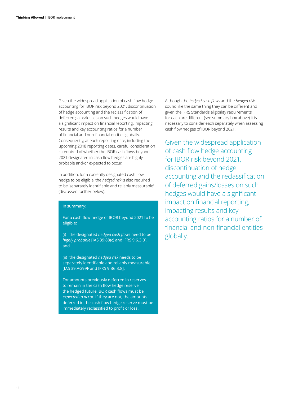Given the widespread application of cash flow hedge accounting for IBOR risk beyond 2021, discontinuation of hedge accounting and the reclassification of deferred gains/losses on such hedges would have a significant impact on financial reporting, impacting results and key accounting ratios for a number of financial and non‑financial entities globally. Consequently, at each reporting date, including the upcoming 2018 reporting dates, careful consideration is required of whether the IBOR cash flows beyond 2021 designated in cash flow hedges are highly probable and/or expected to occur.

In addition, for a currently designated cash flow hedge to be eligible, the *hedged risk* is also required to be 'separately identifiable and reliably measurable' (discussed further below).

#### In summary:

For a cash flow hedge of IBOR beyond 2021 to be eligible:

(i) the designated *hedged cash flows* need to be *highly probable* [IAS 39:88(c) and IFRS 9:6.3.3], and

(ii) the designated *hedged risk* needs to be separately identifiable and reliably measurable [IAS 39:AG99F and IFRS 9:B6.3.8].

For amounts previously deferred in reserves to remain in the cash flow hedge reserve the hedged future IBOR cash flows must be *expected to occur*. If they are not, the amounts deferred in the cash flow hedge reserve must be immediately reclassified to profit or loss.

Although the *hedged cash flows* and the *hedged risk* sound like the same thing they can be different and given the IFRS Standards eligibility requirements for each are different (see summary box above) it is necessary to consider each separately when assessing cash flow hedges of IBOR beyond 2021.

Given the widespread application of cash flow hedge accounting for IBOR risk beyond 2021, discontinuation of hedge accounting and the reclassification of deferred gains/losses on such hedges would have a significant impact on financial reporting, impacting results and key accounting ratios for a number of financial and non-financial entities globally.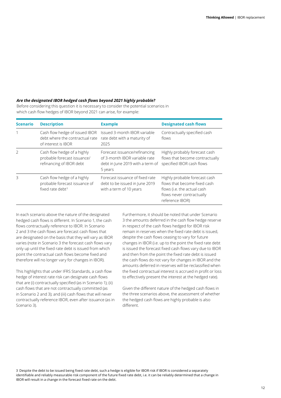#### *Are the designated IBOR hedged cash flows beyond 2021 highly probable?*

Before considering this question it is necessary to consider the potential scenarios in which cash flow hedges of IBOR beyond 2021 can arise, for example:

| <b>Scenario</b> | <b>Description</b>                                                                       | <b>Example</b>                                                                                                | <b>Designated cash flows</b>                                                                                                                 |
|-----------------|------------------------------------------------------------------------------------------|---------------------------------------------------------------------------------------------------------------|----------------------------------------------------------------------------------------------------------------------------------------------|
|                 | Cash flow hedge of issued IBOR<br>debt where the contractual rate<br>of interest is IBOR | Issued 3-month IBOR variable<br>rate debt with a maturity of<br>2025                                          | Contractually specified cash<br>flows                                                                                                        |
| $\overline{2}$  | Cash flow hedge of a highly<br>probable forecast issuance/<br>refinancing of IBOR debt   | Forecast issuance/refinancing<br>of 3-month IBOR variable rate<br>debt in June 2019 with a term of<br>5 years | Highly probably forecast cash<br>flows that become contractually<br>specified IBOR cash flows                                                |
| 3               | Cash flow hedge of a highly<br>probable forecast issuance of<br>fixed rate debt $3$      | Forecast issuance of fixed rate<br>debt to be issued in June 2019<br>with a term of 10 years                  | Highly probable forecast cash<br>flows that become fixed cash<br>flows (i.e. the actual cash<br>flows never contractually<br>reference IBOR) |

In each scenario above the nature of the designated hedged cash flows is different. In Scenario 1, the cash flows contractually reference to IBOR. In Scenario 2 and 3 the cash flows are forecast cash flows that are designated on the basis that they will vary as IBOR varies (note in Scenario 3 the forecast cash flows vary only up until the fixed rate debt is issued from which point the contractual cash flows become fixed and therefore will no longer vary for changes in IBOR).

This highlights that under IFRS Standards, a cash flow hedge of interest rate risk can designate cash flows that are (i) contractually specified (as in Scenario 1); (ii) cash flows that are not contractually committed (as in Scenario 2 and 3); and (iii) cash flows that will never contractually reference IBOR, even after issuance (as in Scenario 3).

Furthermore, it should be noted that under Scenario 3 the amounts deferred in the cash flow hedge reserve in respect of the cash flows hedged for IBOR risk remain in reserves when the fixed rate debt is issued, despite the cash flows ceasing to vary for future changes in IBOR (i.e. up to the point the fixed rate debt is issued the forecast fixed cash flows vary due to IBOR and then from the point the fixed rate debt is issued the cash flows do not vary for changes in IBOR and the amounts deferred in reserves will be reclassified when the fixed contractual interest is accrued in profit or loss to effectively present the interest at the hedged rate).

Given the different nature of the hedged cash flows in the three scenarios above, the assessment of whether the hedged cash flows are highly probable is also different.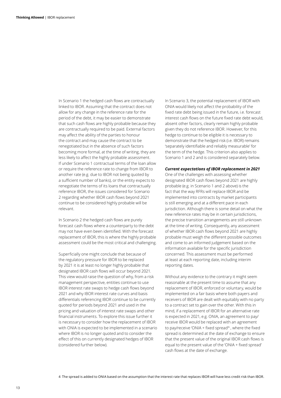In Scenario 1 the hedged cash flows are contractually linked to IBOR. Assuming that the contract does not allow for any change in the reference rate for the period of the debt, it may be easier to demonstrate that such cash flows are highly probable because they are contractually required to be paid. External factors may affect the ability of the parties to honour the contract and may cause the contract to be renegotiated but in the absence of such factors becoming more formal, at the time of writing, they are less likely to affect the highly probable assessment. If under Scenario 1 contractual terms of the loan allow or require the reference rate to change from IBOR to another rate (e.g. due to IBOR not being quoted by a sufficient number of banks), or the entity expects to renegotiate the terms of its loans that contractually reference IBOR, the issues considered for Scenario 2 regarding whether IBOR cash flows beyond 2021 continue to be considered highly probable will be relevant.

In Scenario 2 the hedged cash flows are purely forecast cash flows where a counterparty to the debt may not have even been identified. With the forecast replacement of IBOR, this is where the highly probable assessment could be the most critical and challenging.

Superficially one might conclude that because of the regulatory pressure for IBOR to be replaced by 2021 it is at least no longer highly probable that designated IBOR cash flows will occur beyond 2021. This view would raise the question of why, from a risk management perspective, entities continue to use IBOR interest rate swaps to hedge cash flows beyond 2021 and why IBOR interest rate curves and basis differentials referencing IBOR continue to be currently quoted for periods beyond 2021 and used in the pricing and valuation of interest rate swaps and other financial instruments. To explore this issue further it is necessary to consider how the replacement of IBOR with ONIA is expected to be implemented in a scenario where IBOR is no longer quoted and to consider the effect of this on currently designated hedges of IBOR (considered further below).

In Scenario 3, the potential replacement of IBOR with ONIA would likely not affect the probability of the fixed rate debt being issued in the future, i.e. forecast interest cash flows on the future fixed rate debt would, absent other factors, clearly remain highly probable given they do not reference IBOR. However, for this hedge to continue to be eligible it is necessary to demonstrate that the hedged risk (i.e. IBOR) remains 'separately identifiable and reliably measurable' for the term of the hedge. This criterion also applies to Scenario 1 and 2 and is considered separately below.

#### *Current expectations of IBOR replacement in 2021*

One of the challenges with assessing whether designated IBOR cash flows beyond 2021 are highly probable (e.g. in Scenario 1 and 2 above) is the fact that the way RFRs will replace IBOR and be implemented into contracts by market participants is still emerging and at a different pace in each jurisdiction. Although there is some detail on what the new reference rates may be in certain jurisdictions, the precise transition arrangements are still unknown at the time of writing. Consequently, any assessment of whether IBOR cash flows beyond 2021 are highly probable must weigh the different possible outcomes and come to an informed judgement based on the information available for the specific jurisdiction concerned. This assessment must be performed at least at each reporting date, including interim reporting dates.

Without any evidence to the contrary it might seem reasonable at the present time to assume that any replacement of IBOR, enforced or voluntary, would be implemented on a fair basis where both payers and receivers of IBOR are dealt with equitably with no party to a contract set to gain over the other. With this in mind, if a replacement of IBOR for an alternative rate is expected in 2021, e.g. ONIA, an agreement to pay/ receive IBOR would be replaced with an agreement to pay/receive 'ONIA + fixed spread'<sup>4</sup> , where the fixed spread is determined at the date of exchange to ensure that the present value of the original IBOR cash flows is equal to the present value of the 'ONIA + fixed spread' cash flows at the date of exchange.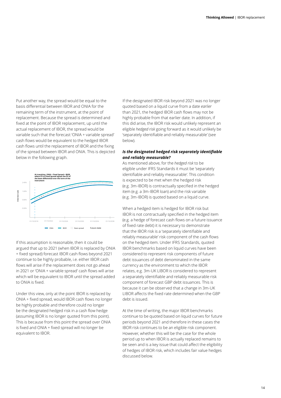Put another way, the spread would be equal to the basis differential between IBOR and ONIA for the remaining term of the instrument, at the point of replacement. Because the spread is determined and fixed at the point of IBOR replacement, up until the actual replacement of IBOR, the spread would be variable such that the forecast 'ONIA + variable spread' cash flows would be equivalent to the hedged IBOR cash flows until the replacement of IBOR and the fixing of the spread between IBOR and ONIA. This is depicted below in the following graph.



If this assumption is reasonable, then it could be argued that up to 2021 (when IBOR is replaced by ONIA + fixed spread) forecast IBOR cash flows beyond 2021 continue to be highly probable, i.e. either IBOR cash flows will arise if the replacement does not go ahead in 2021 or 'ONIA + variable spread' cash flows will arise which will be equivalent to IBOR until the spread added to ONIA is fixed.

Under this view, only at the point IBOR is replaced by ONIA + fixed spread, would IBOR cash flows no longer be highly probable and therefore could no longer be the designated hedged risk in a cash flow hedge (assuming IBOR is no longer quoted from this point). This is because from this point the spread over ONIA is fixed and ONIA + fixed spread will no longer be equivalent to IBOR.

If the designated IBOR risk beyond 2021 was no longer quoted based on a liquid curve from a date *earlier* than 2021, the hedged IBOR cash flows may not be highly probable from that earlier date. In addition, if this did arise, the IBOR risk would unlikely represent an eligible *hedged risk* going forward as it would unlikely be 'separately identifiable and reliably measurable' (see below).

#### *Is the designated hedged risk separately identifiable and reliably measurable?*

As mentioned above, for the *hedged risk* to be eligible under IFRS Standards it must be 'separately identifiable and reliably measurable'. This condition is expected to be met when the hedged risk (e.g. 3m‑IBOR) is contractually specified in the hedged item (e.g. a 3m‑IBOR loan) and the risk variable (e.g. 3m‑IBOR) is quoted based on a liquid curve.

When a hedged item is hedged for IBOR risk but IBOR is not contractually specified in the hedged item (e.g. a hedge of forecast cash flows on a future issuance of fixed rate debt) it is necessary to demonstrate that the IBOR risk is a 'separately identifiable and reliably measurable' risk component of the cash flows on the hedged item. Under IFRS Standards, quoted IBOR benchmarks based on liquid curves have been considered to represent risk components of future debt issuances of debt denominated in the same currency as the environment to which the IBOR relates, e.g. 3m‑UK LIBOR is considered to represent a separately identifiable and reliably measurable risk component of forecast GBP debt issuances. This is because it can be observed that a change in 3m‑UK LIBOR affects the fixed rate determined when the GBP debt is issued.

At the time of writing, the major IBOR benchmarks continue to be quoted based on liquid curves for future periods beyond 2021 and therefore in these cases the IBOR risk continues to be an eligible risk component. However, whether this will be the case for the whole period up to when IBOR is actually replaced remains to be seen and is a key issue that could affect the eligibility of hedges of IBOR risk, which includes fair value hedges discussed below.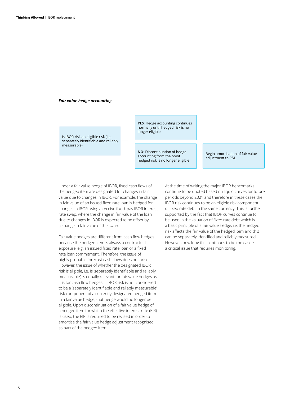#### *Fair value hedge accounting*

Is IBOR risk an eligible risk (i.e. separately identifiable and reliably measurable)

**YES**: Hedge accounting continues normally until hedged risk is no longer eligible

**NO**: Discontinuation of hedge accounting from the point hedged risk is no longer eligible

Begin amortisation of fair value adjustment to P&L

Under a fair value hedge of IBOR, fixed cash flows of the hedged item are designated for changes in fair value due to changes in IBOR. For example, the change in fair value of an issued fixed rate loan is hedged for changes in IBOR using a receive fixed, pay IBOR interest rate swap, where the change in fair value of the loan due to changes in IBOR is expected to be offset by a change in fair value of the swap.

Fair value hedges are different from cash flow hedges because the hedged item is always a contractual exposure, e.g. an issued fixed rate loan or a fixed rate loan commitment. Therefore, the issue of highly probable forecast cash flows does not arise. However, the issue of whether the designated IBOR risk is eligible, i.e. is 'separately identifiable and reliably measurable', is equally relevant for fair value hedges as it is for cash flow hedges. If IBOR risk is not considered to be a 'separately identifiable and reliably measurable' risk component of a currently designated hedged item in a fair value hedge, that hedge would no longer be eligible. Upon discontinuation of a fair value hedge of a hedged item for which the effective interest rate (EIR) is used, the EIR is required to be revised in order to amortise the fair value hedge adjustment recognised as part of the hedged item.

At the time of writing the major IBOR benchmarks continue to be quoted based on liquid curves for future periods beyond 2021 and therefore in these cases the IBOR risk continues to be an eligible risk component of fixed rate debt in the same currency. This is further supported by the fact that IBOR curves continue to be used in the valuation of fixed rate debt which is a basic principle of a fair value hedge, i.e. the hedged risk affects the fair value of the hedged item and this can be separately identified and reliably measured. However, how long this continues to be the case is a critical issue that requires monitoring.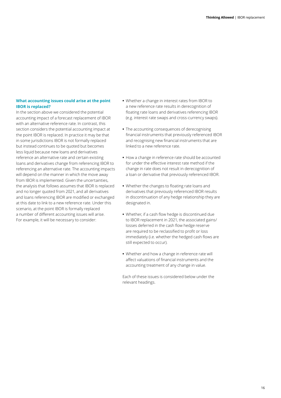## <span id="page-15-0"></span>**What accounting issues could arise at the point IBOR is replaced?**

In the section above we considered the potential accounting impact of a forecast replacement of IBOR with an alternative reference rate. In contrast, this section considers the potential accounting impact at the point IBOR is replaced. In practice it may be that in some jurisdictions IBOR is not formally replaced but instead continues to be quoted but becomes less liquid because new loans and derivatives reference an alternative rate and certain existing loans and derivatives change from referencing IBOR to referencing an alternative rate. The accounting impacts will depend on the manner in which the move away from IBOR is implemented. Given the uncertainties, the analysis that follows assumes that IBOR is replaced and no longer quoted from 2021, and all derivatives and loans referencing IBOR are modified or exchanged at this date to link to a new reference rate. Under this scenario, at the point IBOR is formally replaced a number of different accounting issues will arise. For example, it will be necessary to consider:

- **•** Whether a change in interest rates from IBOR to a new reference rate results in derecognition of floating rate loans and derivatives referencing IBOR (e.g. interest rate swaps and cross‑currency swaps).
- **•** The accounting consequences of derecognising financial instruments that previously referenced IBOR and recognising new financial instruments that are linked to a new reference rate.
- **•** How a change in reference rate should be accounted for under the effective interest rate method if the change in rate does not result in derecognition of a loan or derivative that previously referenced IBOR.
- **•** Whether the changes to floating rate loans and derivatives that previously referenced IBOR results in discontinuation of any hedge relationship they are designated in.
- **•** Whether, if a cash flow hedge is discontinued due to IBOR replacement in 2021, the associated gains/ losses deferred in the cash flow hedge reserve are required to be reclassified to profit or loss immediately (i.e. whether the hedged cash flows are still expected to occur).
- **•** Whether and how a change in reference rate will affect valuations of financial instruments and the accounting treatment of any change in value.

Each of these issues is considered below under the relevant headings.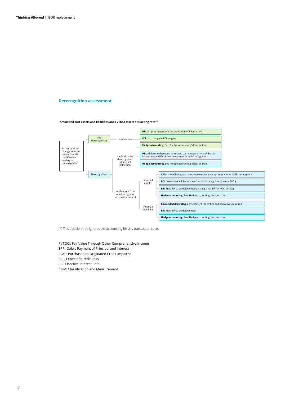#### <span id="page-16-0"></span>**Derecognition assessment**

**Amortised cost assets and liabilities and FVTOCI assets at floating rate(\*)**



(\*) This decision tree ignores the accounting for any transaction costs.

FVTOCI: Fair Value Through Other Comprehensive Income SPPI: Solely Payment of Principal and Interest POCI: Purchased or Originated Credit Impaired ECL: Expected Credit Loss EIR: Effective Interest Rate C&M: Classification and Measurement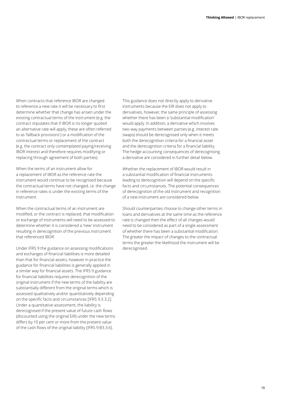When contracts that reference IBOR are changed to reference a new rate it will be necessary to first determine whether that change has arisen under the existing contractual terms of the instrument (e.g. the contract stipulates that if IBOR is no longer quoted an alternative rate will apply, these are often referred to as 'fallback provisions') or a modification of the contractual terms or replacement of the contract (e.g. the contract only contemplated paying/receiving IBOR interest and therefore requires modifying or replacing through agreement of both parties).

When the terms of an instrument allow for a replacement of IBOR as the reference rate the instrument would continue to be recognised because the contractual terms have not changed, i.e. the change in reference rates is under the existing terms of the instrument.

When the contractual terms of an instrument are modified, or the contract is replaced, that modification or exchange of instruments will need to be assessed to determine whether it is considered a 'new' instrument resulting in derecognition of the previous instrument that referenced IBOR.

Under IFRS 9 the guidance on assessing modifications and exchanges of financial liabilities is more detailed than that for financial assets, however in practice the guidance for financial liabilities is generally applied in a similar way for financial assets. The IFRS 9 guidance for financial liabilities requires derecognition of the original instrument if the new terms of the liability are substantially different from the original terms which is assessed qualitatively and/or quantitatively depending on the specific facts and circumstances [IFRS 9:3.3.2]. Under a quantitative assessment, the liability is derecognised if the present value of future cash flows (discounted using the original EIR) under the new terms differs by 10 per cent or more from the present value of the cash flows of the original liability [IFRS 9:B3.3.6].

This guidance does not directly apply to derivative instruments because the EIR does not apply to derivatives, however, the same principle of assessing whether there has been a 'substantial modification' would apply. In addition, a derivative which involves two-way payments between parties (e.g. interest rate swaps) should be derecognised only when it meets both the derecognition criteria for a financial asset and the derecognition criteria for a financial liability. The hedge accounting consequences of derecognising a derivative are considered in further detail below.

Whether the replacement of IBOR would result in a substantial modification of financial instruments leading to derecognition will depend on the specific facts and circumstances. The potential consequences of derecognition of the old instrument and recognition of a new instrument are considered below.

Should counterparties choose to change other terms in loans and derivatives at the same time as the reference rate is changed then the effect of all changes would need to be considered as part of a single assessment of whether there has been a substantial modification. The greater the impact of changes to the contractual terms the greater the likelihood the instrument will be derecognised.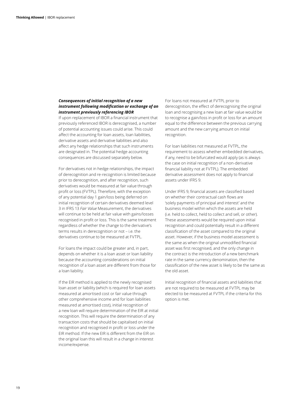## *Consequences of initial recognition of a new instrument following modification or exchange of an instrument previously referencing IBOR*

If upon replacement of IBOR a financial instrument that previously referenced IBOR is derecognised, a number of potential accounting issues could arise. This could affect the accounting for loan assets, loan liabilities, derivative assets and derivative liabilities and also affect any hedge relationships that such instruments are designated in. The potential hedge accounting consequences are discussed separately below.

For derivatives not in hedge relationships, the impact of derecognition and re‑recognition is limited because prior to derecognition, and after recognition, such derivatives would be measured at fair value through profit or loss (FVTPL). Therefore, with the exception of any potential day 1 gain/loss being deferred on initial recognition of certain derivatives deemed level 3 in IFRS 13 *Fair Value* Measurement, the derivatives will continue to be held at fair value with gains/losses recognised in profit or loss. This is the same treatment regardless of whether the change to the derivative's terms results in derecognition or not – i.e. the derivatives continue to be measured at FVTPL.

For loans the impact could be greater and, in part, depends on whether it is a loan asset or loan liability because the accounting considerations on initial recognition of a loan asset are different from those for a loan liability.

If the EIR method is applied to the newly recognised loan asset or liability (which is required for loan assets measured at amortised cost or fair value through other comprehensive income and for loan liabilities measured at amortised cost), initial recognition of a new loan will require determination of the EIR at initial recognition. This will require the determination of any transaction costs that should be capitalised on initial recognition and recognised in profit or loss under the EIR method. If the new EIR is different from the EIR on the original loan this will result in a change in interest income/expense.

For loans not measured at FVTPL prior to derecognition, the effect of derecognising the original loan and recognising a new loan at fair value would be to recognise a gain/loss in profit or loss for an amount equal to the difference between the previous carrying amount and the new carrying amount on initial recognition.

For loan liabilities not measured at FVTPL, the requirement to assess whether embedded derivatives, if any, need to be bifurcated would apply (as is always the case on initial recognition of a non‑derivative financial liability not at FVTPL). The embedded derivative assessment does not apply to financial assets under IFRS 9.

Under IFRS 9, financial assets are classified based on whether their contractual cash flows are 'solely payments of principal and interest' and the business model within which the assets are held (i.e. held to collect, held to collect and sell, or other). These assessments would be required upon initial recognition and could potentially result in a different classification of the asset compared to the original asset. However, if the business model assessment is the same as when the original unmodified financial asset was first recognised, and the only change in the contract is the introduction of a new benchmark rate in the same currency denomination, then the classification of the new asset is likely to be the same as the old asset.

Initial recognition of financial assets and liabilities that are not required to be measured at FVTPL may be elected to be measured at FVTPL if the criteria for this option is met.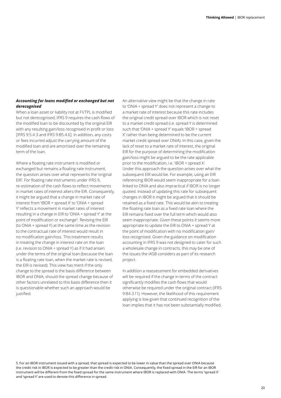## *Accounting for loans modified or exchanged but not derecognised*

When a loan asset or liability not at FVTPL is modified but not derecognised, IFRS 9 requires the cash flows of the modified loan to be discounted by the original EIR with any resulting gain/loss recognised in profit or loss [IFRS 9:5.4.3 and IFRS 9:B5.4.6]. In addition, any costs or fees incurred adjust the carrying amount of the modified loan and are amortised over the remaining term of the loan.

Where a floating rate instrument is modified or exchanged but remains a floating rate instrument, the question arises over what represents the 'original EIR'. For floating rate instruments under IFRS 9, re‑estimation of the cash flows to reflect movements in market rates of interest alters the EIR. Consequently, it might be argued that a change in market rate of interest from 'IBOR + spread X' to 'ONIA + spread Y' reflects a movement in market rates of interest resulting in a change in EIR to 'ONIA + spread Y' at the point of modification or exchange<sup>5</sup>. Revising the EIR (to ONIA + spread Y) at the same time as the revision to the contractual rate of interest would result in no modification gain/loss. This treatment results in treating the change in interest rate on the loan (i.e. revision to ONIA + spread Y) as if it had arisen under the terms of the original loan (because the loan is a floating rate loan, when the market rate is revised, the EIR is revised). This view has merit if the only change to the spread is the basis difference between IBOR and ONIA; should the spread change because of other factors unrelated to this basis difference then it is questionable whether such an approach would be justified.

An alternative view might be that the change in rate to 'ONIA + spread Y' does not represent a change to a market rate of interest because this rate includes the original credit spread over IBOR which is not reset to a market credit spread (i.e. spread Y is determined such that 'ONIA + spread Y' equals 'IBOR + spread X' rather than being determined to be the current market credit spread over ONIA). In this case, given the lack of reset to a market rate of interest, the original EIR for the purpose of determining the modification gain/loss might be argued to be the rate applicable prior to the modification, i.e. 'IBOR + spread X'. Under this approach the question arises over what the subsequent EIR would be. For example, using an EIR referencing IBOR would seem inappropriate for a loan linked to ONIA and also impractical if IBOR is no longer quoted. Instead of updating this rate for subsequent changes in IBOR it might be argued that it should be retained as a fixed rate. This would be akin to treating the floating rate loan as a fixed rate loan where the EIR remains fixed over the full term which would also seem inappropriate. Given these points it seems more appropriate to update the EIR to ONIA + spread Y at the point of modification with no modification gain/ loss recognised. Given the guidance on modification accounting in IFRS 9 was not designed to cater for such a wholesale change in contracts, this may be one of the issues the IASB considers as part of its research project.

In addition a reassessment for embedded derivatives will be required if the change in terms of the contract significantly modifies the cash flows that would otherwise be required under the original contract (IFRS 9:B4.3.11). However, the likelihood of this requirement applying is low given that continued recognition of the loan implies that it has not been substantially modified.

5 For an IBOR instrument issued with a spread, that spread is expected to be lower in value than the spread over ONIA because the credit risk in IBOR is expected to be greater than the credit risk in ONIA. Consequently, the fixed spread in the EIR for an IBOR instrument will be different from the fixed spread for the same instrument where IBOR is replaced with ONIA. The terms 'spread X' and 'spread Y' are used to denote this difference in spread.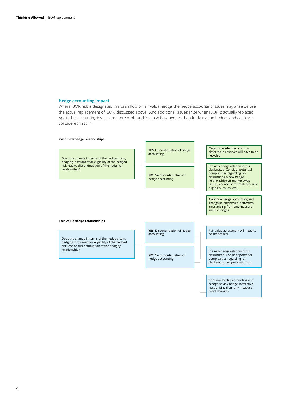#### <span id="page-20-0"></span>**Hedge accounting impact**

Where IBOR risk is designated in a cash flow or fair value hedge, the hedge accounting issues may arise before the actual replacement of IBOR (discussed above). And additional issues arise when IBOR is actually replaced. Again the accounting issues are more profound for cash flow hedges than for fair value hedges and each are considered in turn.

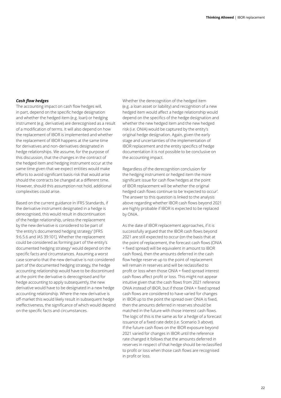## *Cash flow hedges*

The accounting impact on cash flow hedges will, in part, depend on the specific hedge designation and whether the hedged item (e.g. loan) or hedging instrument (e.g. derivative) are derecognised as a result of a modification of terms. It will also depend on how the replacement of IBOR is implemented and whether the replacement of IBOR happens at the same time for derivatives and non‑derivatives designated in hedge relationships. We assume, for the purpose of this discussion, that the changes in the contract of the hedged item and hedging instrument occur at the same time given that we expect entities would make efforts to avoid significant basis risk that would arise should the contracts be changed at a different time. However, should this assumption not hold, additional complexities could arise.

Based on the current guidance in IFRS Standards, if the derivative instrument designated in a hedge is derecognised, this would result in discontinuation of the hedge relationship, unless the replacement by the new derivative is considered to be part of 'the entity's documented hedging strategy' [IFRS 9:6.5.6 and IAS 39:101]. Whether the replacement could be considered as forming part of 'the entity's documented hedging strategy' would depend on the specific facts and circumstances. Assuming a worst case scenario that the new derivative is not considered part of the documented hedging strategy, the hedge accounting relationship would have to be discontinued at the point the derivative is derecognised and for hedge accounting to apply subsequently, the new derivative would have to be designated in a new hedge accounting relationship. Where the new derivative is off-market this would likely result in subsequent hedge ineffectiveness, the significance of which would depend on the specific facts and circumstances.

Whether the derecognition of the hedged item (e.g. a loan asset or liability) and recognition of a new hedged item would affect a hedge relationship would depend on the specifics of the hedge designation and whether the new hedged item and the new hedged risk (i.e. ONIA) would be captured by the entity's original hedge designation. Again, given the early stage and uncertainties of the implementation of IBOR replacement and the entity specifics of hedge documentation it is not possible to be conclusive on the accounting impact.

Regardless of the derecognition conclusion for the hedging instrument or hedged item the more significant issue for cash flow hedges at the point of IBOR replacement will be whether the original hedged cash flows continue to be 'expected to occur'. The answer to this question is linked to the analysis above regarding whether IBOR cash flows beyond 2021 are highly probable if IBOR is expected to be replaced by ONIA.

As the date of IBOR replacement approaches, if it is successfully argued that the IBOR cash flows beyond 2021 are still expected to occur (on the basis that at the point of replacement, the forecast cash flows (ONIA + fixed spread) will be equivalent in amount to IBOR cash flows), then the amounts deferred in the cash flow hedge reserve up to the point of replacement will remain in reserves and will be reclassified to profit or loss when those ONIA + fixed spread interest cash flows affect profit or loss. This might not appear intuitive given that the cash flows from 2021 reference ONIA instead of IBOR, but if those ONIA + fixed spread cash flows are considered to have varied for changes in IBOR up to the point the spread over ONIA is fixed, then the amounts deferred in reserves should be matched in the future with those interest cash flows. The logic of this is the same as for a hedge of a forecast issuance of a fixed rate debt (i.e. Scenario 3 above). If the future cash flows on the IBOR exposure beyond 2021 varied for changes in IBOR until the reference rate changed it follows that the amounts deferred in reserves in respect of that hedge should be reclassified to profit or loss when those cash flows are recognised in profit or loss.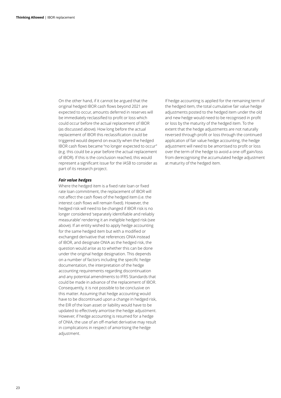On the other hand, if it cannot be argued that the original hedged IBOR cash flows beyond 2021 are expected to occur, amounts deferred in reserves will be immediately reclassified to profit or loss which could occur before the actual replacement of IBOR (as discussed above). How long before the actual replacement of IBOR this reclassification could be triggered would depend on exactly when the hedged IBOR cash flows became "no longer expected to occur" (e.g. this could be a year before the actual replacement of IBOR). If this is the conclusion reached, this would represent a significant issue for the IASB to consider as part of its research project.

#### *Fair value hedges*

Where the hedged item is a fixed rate loan or fixed rate loan commitment, the replacement of IBOR will not affect the cash flows of the hedged item (i.e. the interest cash flows will remain fixed). However, the hedged risk will need to be changed if IBOR risk is no longer considered 'separately identifiable and reliably measurable' rendering it an ineligible hedged risk (see above). If an entity wished to apply hedge accounting for the same hedged item but with a modified or exchanged derivative that references ONIA instead of IBOR, and designate ONIA as the hedged risk, the question would arise as to whether this can be done under the original hedge designation. This depends on a number of factors including the specific hedge documentation, the interpretation of the hedge accounting requirements regarding discontinuation and any potential amendments to IFRS Standards that could be made in advance of the replacement of IBOR. Consequently, it is not possible to be conclusive on this matter. Assuming that hedge accounting would have to be discontinued upon a change in hedged risk, the EIR of the loan asset or liability would have to be updated to effectively amortise the hedge adjustment. However, if hedge accounting is resumed for a hedge of ONIA, the use of an off-market derivative may result in complications in respect of amortising the hedge adjustment.

If hedge accounting is applied for the remaining term of the hedged item, the total cumulative fair value hedge adjustments posted to the hedged item under the old and new hedge would need to be recognised in profit or loss by the maturity of the hedged item. To the extent that the hedge adjustments are not naturally reversed through profit or loss through the continued application of fair value hedge accounting, the hedge adjustment will need to be amortised to profit or loss over the term of the hedge to avoid a one‑off gain/loss from derecognising the accumulated hedge adjustment at maturity of the hedged item.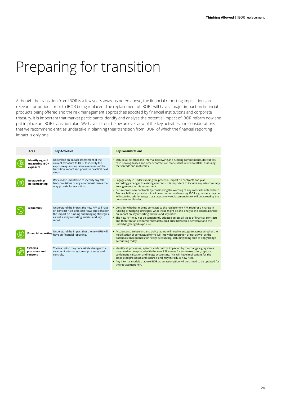## <span id="page-23-0"></span>Preparing for transition

Although the transition from IBOR is a few years away, as noted above, the financial reporting implications are relevant for periods prior to IBOR being replaced. The replacement of IBORs will have a major impact on financial products being offered and the risk management approaches adopted by financial institutions and corporate treasury. It is important that market participants identify and analyse the potential impact of IBOR reform now and put in place an IBOR transition plan. We have set out below an overview of the key activities and considerations that we recommend entities undertake in planning their transition from IBOR, of which the financial reporting impact is only one.

| Area                                          | <b>Key Activities</b>                                                                                                                                                                               | <b>Key Considerations</b>                                                                                                                                                                                                                                                                                                                                                                                                                                                                                   |
|-----------------------------------------------|-----------------------------------------------------------------------------------------------------------------------------------------------------------------------------------------------------|-------------------------------------------------------------------------------------------------------------------------------------------------------------------------------------------------------------------------------------------------------------------------------------------------------------------------------------------------------------------------------------------------------------------------------------------------------------------------------------------------------------|
| Identifying and<br>measuring IBOR<br>exposure | Undertake an impact assessment of the<br>current exposure to IBOR to identify the<br>exposure quantum, raise awareness of the<br>transition impact and prioritise practical next<br>steps.          | • Include all external and internal borrowing and funding commitments, derivatives,<br>cash pooling, leases and other contracts or models that reference IBOR, assessing<br>the spreads and maturities.                                                                                                                                                                                                                                                                                                     |
| Re-papering/<br><b>Re-contracting</b>         | Review documentation to identify any fall<br>back provisions or any contractual terms that<br>may provide for transition.                                                                           | Engage early in understanding the potential impact on contracts and plan<br>accordingly changes to existing contracts. It is important to include any intercompany<br>arrangements in this assessment.<br>• Future-proof new contracts by considering the wording of any contracts entered into.<br>Prepare fall back provisions in all new contracts referencing IBOR e.g. lenders may be<br>willing to include language that states a new replacement index will be agreed by the<br>borrower and lender. |
| <b>Economics</b>                              | Understand the impact the new RFR will have<br>on contract risks and cash flows and consider<br>the impact on funding and hedging strategies<br>as well as key reporting metrics and key<br>ratios. | Consider whether moving contracts to the replacement RFR requires a change in<br>funding or hedging strategies, what these might be and analyse the potential knock-<br>on impact on key reporting metrics and key ratios.<br>• The new RFR may not be consistently adopted across all types of financial contracts<br>and therefore an economic mismatch could arise between a derivative and the<br>underlying hedged exposure.                                                                           |
|                                               | Understand the impact that the new RFR will<br>Financial reporting have on financial reporting.                                                                                                     | Accountants, treasurers and policy teams will need to engage to assess whether the<br>modification of contractual terms will imply derecognition or not as well as the<br>potential consequences for hedge accounting, including being able to apply hedge<br>accounting today.                                                                                                                                                                                                                             |
| Systems,<br>processes and<br>controls         | The transition may necessitate changes to a<br>swathe of internal systems, processes and<br>controls.                                                                                               | Identify all processes, systems and controls impacted by the change e.g. systems<br>may need to be updated with the new RFR curves for trade execution, capture,<br>settlement, valuation and hedge accounting. This will have implications for the<br>associated processes and controls and may introduce new risks.<br>• Any internal models that use IBOR as an assumption will also need to be updated for<br>the replacement RFR.                                                                      |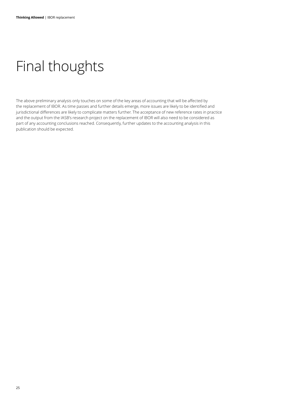```
Final thoughts
```
The above preliminary analysis only touches on some of the key areas of accounting that will be affected by the replacement of IBOR. As time passes and further details emerge, more issues are likely to be identified and jurisdictional differences are likely to complicate matters further. The acceptance of new reference rates in practice and the output from the IASB's research project on the replacement of IBOR will also need to be considered as part of any accounting conclusions reached. Consequently, further updates to the accounting analysis in this publication should be expected.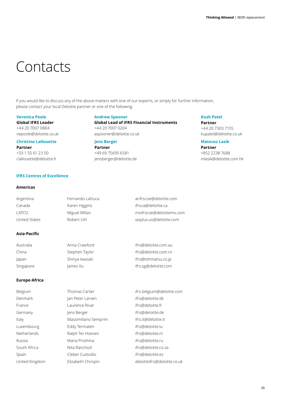## Contacts

If you would like to discuss any of the above matters with one of our experts, or simply for further information, please contact your local Deloitte partner or one of the following:

## **Veronica Poole**

**Global IFRS Leader** +44 20 7007 0884 vepoole@deloitte.co.uk

### **Christine Lallouette**

**Partner** +33 1 55 61 23 50 clallouette@deloitte.fr

## **Andrew Spooner**

**Global Lead of IFRS Financial Instruments** +44 20 7007 0204 aspooner@deloitte.co.uk

#### **Jens Berger Partner** +49 69 75695 6581 jensberger@deloitte.de

**Kush Patel Partner**

+44 20 7303 7155 kupatel@deloitte.co.uk

**Mateusz Lasik Partner** +852 2238 7688 mlasik@deloitte.com.hk

## **IFRS Centres of Excellence**

#### **Americas**

| Argentina     | Fernando Lattuca | arifrscoe@deloitte.com   |
|---------------|------------------|--------------------------|
| Canada        | Karen Higgins    | ifrsca@deloitte.ca       |
| latco         | Miguel Millan    | mxifrscoe@deloittemx.com |
| United States | Robert Uhl       | iasplus.us@deloitte.com  |

### **Asia·Pacific**

| Australia | Anna Crawford  | ifrs@deloitte.com.au |
|-----------|----------------|----------------------|
| China     | Stephen Taylor | ifrs@deloitte.com.cn |
| Japan     | Shinya Iwasaki | ifrs@tohmatsu.co.jp  |
| Singapore | James Xu       | ifrs.sg@deloitte.com |

#### **Europe·Africa**

| Belgium        | Thomas Carlier        | ifrs.belgium@deloitte.com   |
|----------------|-----------------------|-----------------------------|
| Denmark        | Jan Peter Larsen      | ifrs@deloitte.dk            |
| France         | Laurence Rivat        | ifrs@deloitte.fr            |
| Germany        | Jens Berger           | ifrs@deloitte.de            |
| Italy          | Massimiliano Semprini | ifrs.it@deloitte.it         |
| Luxembourg     | Eddy Termaten         | ifrs@deloitte.lu            |
| Netherlands    | Ralph Ter Hoeven      | ifrs@deloitte.nl            |
| Russia         | Maria Proshina        | ifrs@deloitte.ru            |
| South Africa   | Nita Ranchod          | ifrs@deloitte.co.za         |
| Spain          | Cleber Custodio       | ifrs@deloitte.es            |
| United Kingdom | Elizabeth Chrispin    | deloitteifrs@deloitte.co.uk |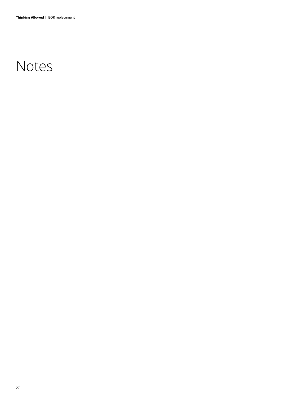## Notes